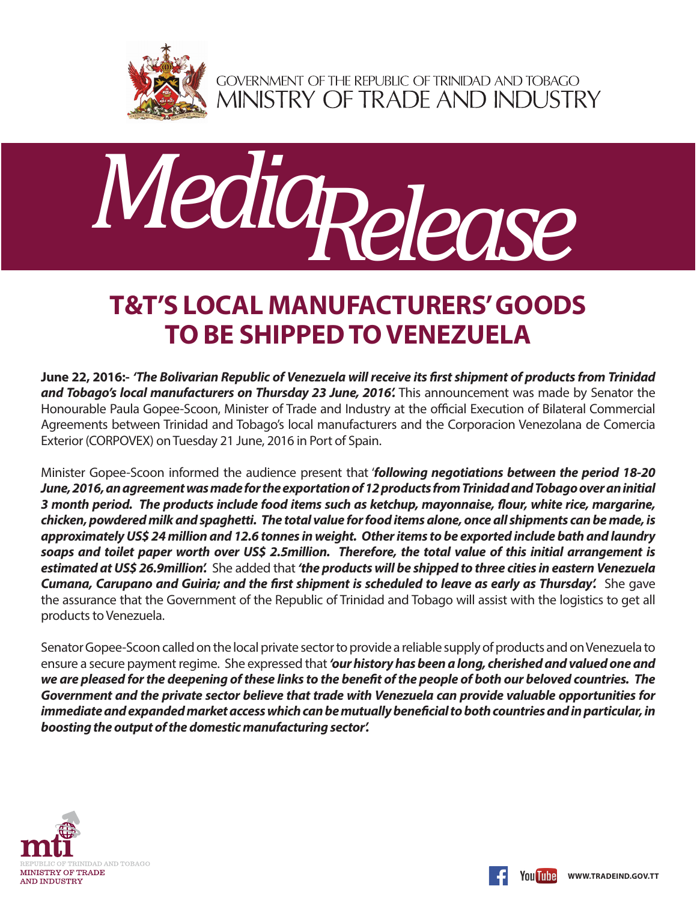

GOVERNMENT OF THE REPUBLIC OF TRINIDAD AND TOBAGO<br>MINISTRY OF TRADE AND INDUSTRY



## **T&T'S LOCAL MANUFACTURERS' GOODS TO BE SHIPPED TO VENEZUELA**

**June 22, 2016:-** *'The Bolivarian Republic of Venezuela will receive its first shipment of products from Trinidad and Tobago's local manufacturers on Thursday 23 June, 2016'.* This announcement was made by Senator the Honourable Paula Gopee-Scoon, Minister of Trade and Industry at the official Execution of Bilateral Commercial Agreements between Trinidad and Tobago's local manufacturers and the Corporacion Venezolana de Comercia Exterior (CORPOVEX) on Tuesday 21 June, 2016 in Port of Spain.

Minister Gopee-Scoon informed the audience present that '*following negotiations between the period 18-20 June, 2016, an agreement was made for the exportation of 12 products from Trinidad and Tobago over an initial 3 month period. The products include food items such as ketchup, mayonnaise, flour, white rice, margarine, chicken, powdered milk and spaghetti. The total value for food items alone, once all shipments can be made, is approximately US\$ 24 million and 12.6 tonnes in weight. Other items to be exported include bath and laundry soaps and toilet paper worth over US\$ 2.5million. Therefore, the total value of this initial arrangement is estimated at US\$ 26.9million'.* She added that *'the products will be shipped to three cities in eastern Venezuela Cumana, Carupano and Guiria; and the first shipment is scheduled to leave as early as Thursday'.* She gave the assurance that the Government of the Republic of Trinidad and Tobago will assist with the logistics to get all products to Venezuela.

Senator Gopee-Scoon called on the local private sector to provide a reliable supply of products and on Venezuela to ensure a secure payment regime. She expressed that *'our history has been a long, cherished and valued one and we are pleased for the deepening of these links to the benefit of the people of both our beloved countries. The Government and the private sector believe that trade with Venezuela can provide valuable opportunities for immediate and expanded market access which can be mutually beneficial to both countries and in particular, in boosting the output of the domestic manufacturing sector'.*